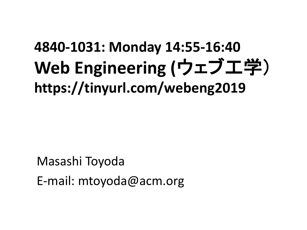### **4840-1031: Monday 14:55-16:40 Web Engineering (**ウェブ工学) **https://tinyurl.com/webeng2019**

Masashi Toyoda E-mail: mtoyoda@acm.org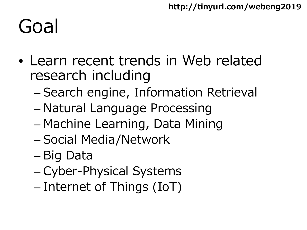## Goal

- Learn recent trends in Web related research including
	- Search engine, Information Retrieval
	- Natural Language Processing
	- Machine Learning, Data Mining
	- Social Media/Network
	- Big Data
	- Cyber-Physical Systems
	- Internet of Things (IoT)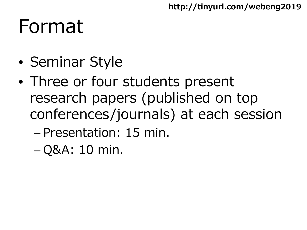### Format

- Seminar Style
- Three or four students present research papers (published on top conferences/journals) at each session
	- Presentation: 15 min.
	- Q&A: 10 min.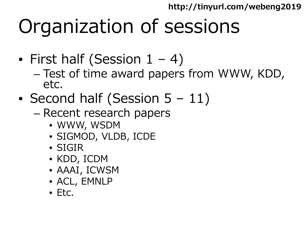# Organization of sessions

- First half (Session  $1 4$ )
	- Test of time award papers from WWW, KDD, etc.
- Second half (Session 5 11)
	- Recent research papers
		- WWW, WSDM
		- SIGMOD, VLDB, ICDE
		- SIGIR
		- KDD, ICDM
		- AAAI, ICWSM
		- ACL, EMNLP
		- Etc.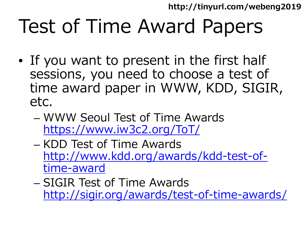# Test of Time Award Papers

- If you want to present in the first half sessions, you need to choose a test of time award paper in WWW, KDD, SIGIR, etc.
	- WWW Seoul Test of Time Awards <https://www.iw3c2.org/ToT/>
	- KDD Test of Time Awards [http://www.kdd.org/awards/kdd-test-of](http://www.kdd.org/awards/kdd-test-of-time-award)time-award
	- SIGIR Test of Time Awards <http://sigir.org/awards/test-of-time-awards/>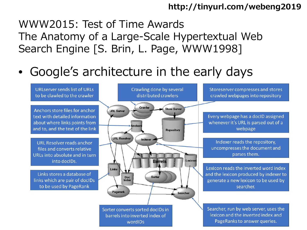### WWW2015: Test of Time Awards The Anatomy of a Large-Scale Hypertextual Web Search Engine [S. Brin, L. Page, WWW1998]

• Google's architecture in the early days

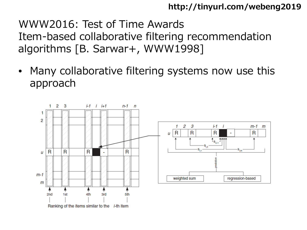### WWW2016: Test of Time Awards Item-based collaborative filtering recommendation algorithms [B. Sarwar+, WWW1998]

Many collaborative filtering systems now use this approach

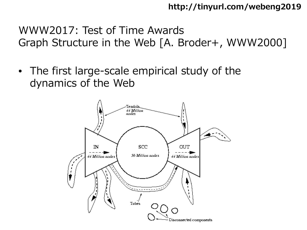WWW2017: Test of Time Awards Graph Structure in the Web [A. Broder+, WWW2000]

• The first large-scale empirical study of the dynamics of the Web

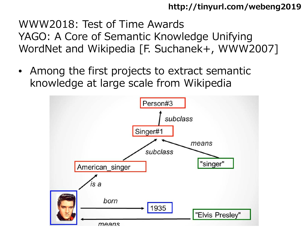WWW2018: Test of Time Awards YAGO: A Core of Semantic Knowledge Unifying WordNet and Wikipedia [F. Suchanek+, WWW2007]

• Among the first projects to extract semantic knowledge at large scale from Wikipedia

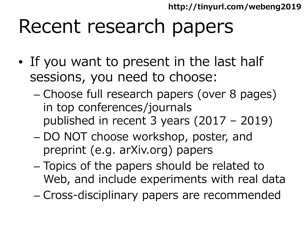### Recent research papers

- If you want to present in the last half sessions, you need to choose:
	- Choose full research papers (over 8 pages) in top conferences/journals published in recent 3 years (2017 – 2019)
	- DO NOT choose workshop, poster, and preprint (e.g. arXiv.org) papers
	- Topics of the papers should be related to Web, and include experiments with real data
	- Cross-disciplinary papers are recommended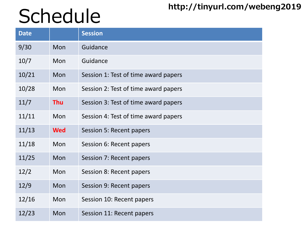# Schedule<sup>http://tinyurl.com/webeng2019</sup>

| <b>Date</b> |            | <b>Session</b>                       |
|-------------|------------|--------------------------------------|
| 9/30        | Mon        | Guidance                             |
| 10/7        | Mon        | Guidance                             |
| 10/21       | Mon        | Session 1: Test of time award papers |
| 10/28       | Mon        | Session 2: Test of time award papers |
| 11/7        | <b>Thu</b> | Session 3: Test of time award papers |
| 11/11       | Mon        | Session 4: Test of time award papers |
| 11/13       | <b>Wed</b> | Session 5: Recent papers             |
| 11/18       | Mon        | Session 6: Recent papers             |
| 11/25       | Mon        | Session 7: Recent papers             |
| 12/2        | Mon        | Session 8: Recent papers             |
| 12/9        | Mon        | Session 9: Recent papers             |
| 12/16       | Mon        | Session 10: Recent papers            |
| 12/23       | Mon        | Session 11: Recent papers            |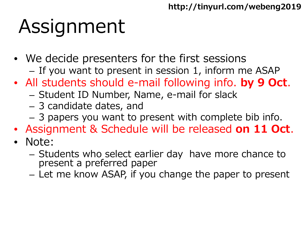# Assignment

- We decide presenters for the first sessions – If you want to present in session 1, inform me ASAP
- All students should e-mail following info. **by 9 Oct**.
	- Student ID Number, Name, e-mail for slack
	- 3 candidate dates, and
	- 3 papers you want to present with complete bib info.
- Assignment & Schedule will be released **on 11 Oct**.
- Note:
	- Students who select earlier day have more chance to present a preferred paper
	- Let me know ASAP, if you change the paper to present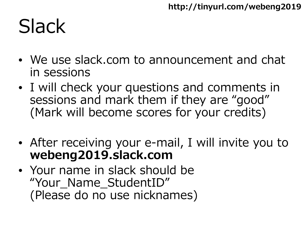## **Slack**

- We use slack.com to announcement and chat in sessions
- I will check your questions and comments in sessions and mark them if they are "good" (Mark will become scores for your credits)
- After receiving your e-mail, I will invite you to **webeng2019.slack.com**
- Your name in slack should be "Your Name StudentID" (Please do no use nicknames)